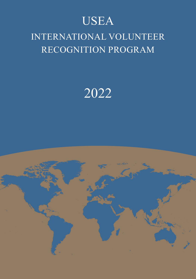# USEA

## INTERNATIONAL VOLUNTEER RECOGNITION PROGRAM

# 2022

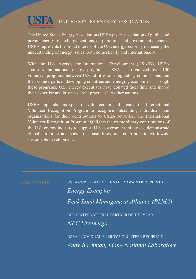

#### UNITED STATES ENERGY ASSOCIATION

The United States Energy Association (USEA) is an association of public and private energy-related organizations, corporations, and government agencies. USEA represents the broad interest of the U.S. energy sector by increasing the understanding of energy issues, both domestically and internationally.

With the U.S. Agency for International Development (USAID), USEA sponsors international energy programs. USEA has organized over 100 volunteer programs between U.S. utilities and regulatory commissions and their counterparts in developing countries and emerging economies. Through these programs, U.S. energy executives have donated their time and shared their expertise and business "best practices" to other nations.

USEA applauds this spirit of volunteerism and created the International Volunteer Recognition Program to recognize outstanding individuals and organizations for their contributions to USEA activities. The International Volunteer Recognition Program highlights the extraordinary contributions of the U.S. energy industry to support U.S. government initiatives, demonstrate global corporate and social responsibilities, and contribute to worldwide sustainable development.

2022 AWARDS USEA CORPORATE VOLUNTEER AWARD RECIPIENTS *Energy Exemplar Peak Load Management Alliance (PLMA)* USEA INTERNATIONAL PARTNER OF THE YEAR *NPC Ukrenergo*

> USEA INDIVIDUAL ENERGY VOLUNTEER RECIPIENT *Andy Bochman, Idaho National Laboratory*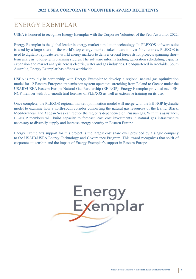#### ENERGY EXEMPLAR

USEA is honored to recognize Energy Exemplar with the Corporate Volunteer of the Year Award for 2022.

Energy Exemplar is the global leader in energy market simulation technology. Its PLEXOS software suite is used by a large share of the world's top energy market stakeholders in over 60 countries. PLEXOS is used to digitally replicate real-world energy markets to deliver crucial forecasts for projects spanning shortterm analysis to long-term planning studies. The software informs trading, generation scheduling, capacity expansion and market analysis across electric, water and gas industries. Headquartered in Adelaide, South Australia, Energy Exemplar has offices worldwide.

USEA is proudly in partnership with Energy Exemplar to develop a regional natural gas optimization model for 12 Eastern European transmission system operators stretching from Poland to Greece under the USAID/USEA Eastern Europe Natural Gas Partnership (EE-NGP). Energy Exemplar provided each EE-NGP member with four-month trial licenses of PLEXOS as well as extensive training on its use.

Once complete, the PLEXOS regional market optimization model will merge with the EE-NGP hydraulic model to examine how a north-south corridor connecting the natural gas resources of the Baltic, Black, Mediterranean and Aegean Seas can reduce the region's dependence on Russian gas. With this assistance, EE-NGP members will build capacity to forecast least cost investments in natural gas infrastructure necessary to diversify supply and increase energy security in Eastern Europe.

Energy Exemplar's support for this project is the largest cost share ever provided by a single company to the USAID/USEA Energy Technology and Governance Program. This award recognizes that spirit of corporate citizenship and the impact of Energy Exemplar's support in Eastern Europe.

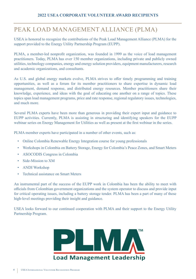#### PEAK LOAD MANAGEMENT ALLIANCE (PLMA)

USEA is honored to recognize the contributions of the Peak Load Management Alliance (PLMA) for the support provided to the Energy Utility Partnership Program (EUPP).

PLMA, a member-led nonprofit organization, was founded in 1999 as the voice of load management practitioners. Today, PLMA has over 150 member organizations, including private and publicly owned utilities, technology companies, energy and energy solution providers, equipment manufacturers, research and academic organizations, and consultants.

As U.S. and global energy markets evolve, PLMA strives to offer timely programming and training opportunities, as well as a forum for its member practitioners to share expertise in dynamic load management, demand response, and distributed energy resources. Member practitioners share their knowledge, experience, and ideas with the goal of educating one another on a range of topics. These topics span load management programs, price and rate response, regional regulatory issues, technologies, and much more.

Several PLMA experts have been more than generous in providing their expert input and guidance to EUPP activities. Currently, PLMA is assisting in structuring and identifying speakers for the EUPP webinar series on Energy Management for Utilities as well as present at the first webinar in the series.

PLMA member experts have participated in a number of other events, such as:

- Online Colombia Renewable Energy Integration course for young professionals
- Workshops in Colombia on Battery Storage, Energy for Colombia's Peace Zones, and Smart Meters
- ASOCODIS Congress in Colombia
- Side-Mission to XM
- ANDI Workshop
- Technical assistance on Smart Meters

An instrumental part of the success of the EUPP work in Colombia has been the ability to meet with officials from Colombian government organizations and the system operator to discuss and provide input for critical operating issues, including a battery storage tender. PLMA has been a part of many of those high-level meetings providing their insight and guidance.

USEA looks forward to our continued cooperation with PLMA and their support to the Energy Utility Partnership Program.

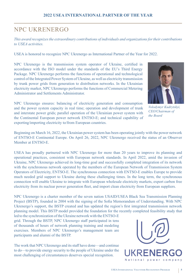#### NPC UKRENERGO

*This award recognizes the extraordinary contributions of individuals and organizations for their contributions to USEA activities.* 

USEA is honored to recognize NPC Ukrenergo as International Partner of the Year for 2022.

NPC Ukrenergo is the transmission system operator of Ukraine, certified in accordance with the ISO model under the standards of the EU's Third Energy Package. NPC Ukrenergo performs the functions of operational and technological control of the Integrated Power System of Ukraine, as well as electricity transmission by trunk power grids from generation to distribution networks. In the Ukrainian electricity market, NPC Ukrenergo performs the functions of Commercial Metering Administrator and Settlements Administrator.



NPC Ukrenergo ensures: balancing of electricity generation and consumption and the power system capacity in real time; operation and development of trunk and interstate power grids; parallel operation of the Ukrainian power system with the Continental European power network ENTSO-E; and technical capability of exporting/importing electricity to/from European countries.

*Volodymyr Kudrytskyi, CEO/Chairman of the Board*

Beginning on March 16, 2022, the Ukrainian power system has been operating jointly with the power network of ENTSO-E Continental Europe. On April 26, 2022, NPC Ukrenergo received the status of an Observer Member at ENTSO-E.

USEA has proudly partnered with NPC Ukrenergo for more than 20 years to improve its planning and operational practices, consistent with European network standards. In April 2022, amid the invasion of Ukraine, NPC Ukrenergo achieved its long-time goal and successfully completed integration of its network with the synchronous network operated by the members of the European Network of Transmission System Operators of Electricity, ENTSO-E. The synchronous connection with ENTSO-E enables Europe to provide much needed grid support to Ukraine during these challenging times. In the long term, the synchronous connection will enable Ukraine to integrate with European wholesale electricity markets, export carbon free electricity from its nuclear power generation fleet, and import clean electricity from European suppliers.

NPC Ukrenergo is a charter member of the seven nation USAID/USEA Black Sea Transmission Planning Project (BSTP), founded in 2004 with the signing of the Sofia Memorandum of Understanding. With NPC Ukrenergo's support, the BSTP created and has updated the region's first integrated transmission network planning model. This BSTP model provided the foundation for the recently completed feasibility study that

led to the synchronization of the Ukraine network with the ENTSO-E grid. Through the BSTP, NPC Ukrenergo staff participated in tens of thousands of hours of network planning training and modeling exercises. Members of NPC Ukrenergo's management team are participants and alumni of the BSTP.

The work that NPC Ukrenergo and its staff have done—and continue to do—to provide energy security to the people of Ukraine under the most challenging of circumstances deserves special recognition.



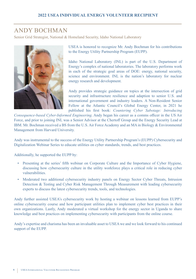#### ANDY BOCHMAN

Senior Grid Strategist, National & Homeland Security, Idaho National Laboratory



USEA is honored to recognize Mr. Andy Bochman for his contributions to the Energy Utility Partnership Program (EUPP).

Idaho National Laboratory (INL) is part of the U.S. Department of Energy's complex of national laboratories. The laboratory performs work in each of the strategic goal areas of DOE: energy, national security, science and environment. INL is the nation's laboratory for nuclear energy research and development.

Andy provides strategic guidance on topics at the intersection of grid security and infrastructure resilience and adaption to senior U.S. and international government and industry leaders. A Non-Resident Senior Fellow at the Atlantic Council's Global Energy Center, in 2021 he published his first book: *Countering Cyber Sabotage: Introducing* 

*Consequence-based Cyber-Informed Engineering*. Andy began his career as a comms officer in the US Air Force, and prior to joining INL was a Senior Advisor at the Chertoff Group and the Energy Security Lead at IBM. Mr. Bochman received a BS from the U.S. Air Force Academy and an MA in Biology & Environmental Management from Harvard University.

Andy was instrumental to the success of the Energy Utility Partnership Program's (EUPP) Cybersecurity and Digitalization Webinar Series to educate utilities on cyber standards, trends, and best practices.

Additionally, he supported the EUPP by:

- Presenting at the series' fifth webinar on Corporate Culture and the Importance of Cyber Hygiene, discussing how cybersecurity culture in the utility workforce plays a critical role in reducing cyber vulnerabilities.
- Moderated two additional cybersecurity industry panels on Energy Sector Cyber Threats, Intrusion Detection & Testing and Cyber Risk Management Through Measurement with leading cybersecurity experts to discuss the latest cybersecurity trends, tools, and technologies.

Andy further assisted USEA's cybersecurity work by hosting a webinar on lessons learned from EUPP's online cybersecurity course and how participant utilities plan to implement cyber best practices in their own organizations. Lastly, Andy moderated a virtual workshop for the energy sector in Uganda to share knowledge and best practices on implementing cybersecurity with participants from the online course.

Andy's expertise and charisma has been an invaluable asset to USEA we and we look forward to his continued support of the EUPP.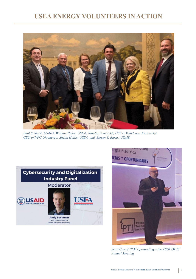#### **USEA ENERGY VOLUNTEERS IN ACTION**



*Paul S. Stack, USAID; William Polen, USEA; Natalia Fominykh, USEA; Volodymyr Kudrytskyi, CEO of NPC Ukrenergo; Sheila Hollis, USEA, and Steven S. Burns, USAID*





*Scott Coe of PLMA presenting a the ASOCODIS Annual Meeting*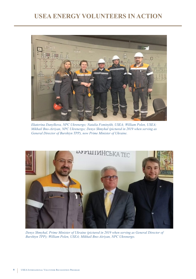### **USEA ENERGY VOLUNTEERS IN ACTION**



*Ekaterina Danylkova, NPC Ukrenergo; Natalia Fominykh, USEA; William Polen, USEA; Mikhail Bno-Airiyan, NPC Ukrenergo; Denys Shmyhal (pictured in 2019 when serving as General Director of Burshtyn TPP), now Prime Minister of Ukraine.*



*Denys Shmyhal, Prime Minister of Ukraine (pictured in 2019 when serving as General Director of Burshtyn TPP); William Polen, USEA; Mikhail Bno-Airiyan, NPC Ukrenergo.*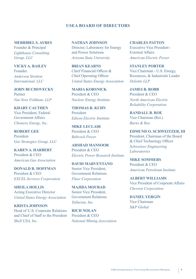#### **USEA BOARD OF DIRECTORS**

**MERRIBEL S. AYRES** Founder & Principal *Lighthouse Consulting Group, LLC*

**VICKY A. BAILEY** Founder *Anderson Stratton International, LLC*

**JOHN BUCHOVECKY** Partner *Van Ness Feldman, LLP*

**KHARY CAUTHEN** Vice President, Federal Government Affairs *Cheniere Energy, Inc.*

**ROBERT GEE** President *Gee Strategies Group, LLC*

**KAREN A. HARBERT** President & CEO *American Gas Association*

**DONALD R. HOFFMAN** President & CEO *EXCEL Services Corporation*

**SHEILA HOLLIS** Acting Executive Director *United States Energy Association*

**KRISTA JOHNSON** Head of U.S. Corporate Relations and Chief of Staff to the President *Shell USA, Inc.*

**NATHAN JOHNSON** Director, Laboratory for Energy and Power Solutions *Arizona State University*

**BRIAN KEARNS** Chief Financial Officer & Chief Operating Officer *United States Energy Association*

**MARIA KORSNICK** President & CEO *Nuclear Energy Institute*

**THOMAS R. KUHN** President *Edison Electric Institute*

**MIKE LECLAIR**  President & CEO *Babcock Power*

**ARSHAD MANSOOR** President & CEO *Electric Power Research Institute*

**DAVID MARVENTANO** Senior Vice President, Government Relations *Fluor Corporation*

**MAJIDA MOURAD** Senior Vice President, Government Relations *Tellurian, Inc.*

**RICH NOLAN** President & CEO *National Mining Association* **CHARLES PATTON** Executive Vice President - External Affairs *American Electric Power*

**STANLEY PORTER** Vice Chairman - U.S. Energy, Resources, & Industrials Leader *Deloitte LLP*

**JAMES B. ROBB** President & CEO *North American Electric Reliability Corporation*

**RANDALL B. ROE** Vice Chairman (Ret.) *Burns & Roe*

**EDMUND O. SCHWEITZER, III** President, Chairman of the Board & Chief Technology Officer *Schweitzer Engineering Laboratories*

**MIKE SOMMERS** President & CEO *American Petroleum Institute*

**ALBERT WILLIAMS** Vice President of Corporate Affairs *Chevron Corporation*

**DANIEL YERGIN** Vice Chairman *S&P Global*